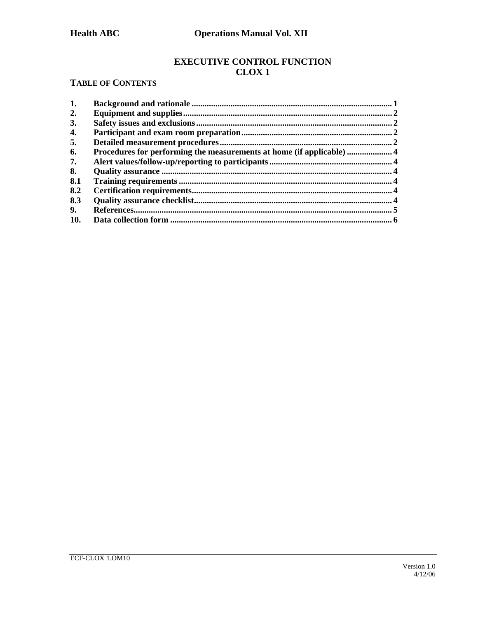# **EXECUTIVE CONTROL FUNCTION CLOX1**

# **TABLE OF CONTENTS**

| 1.  |                                                                       |  |
|-----|-----------------------------------------------------------------------|--|
| 2.  |                                                                       |  |
| 3.  |                                                                       |  |
| 4.  |                                                                       |  |
| 5.  |                                                                       |  |
| 6.  | Procedures for performing the measurements at home (if applicable)  4 |  |
| 7.  |                                                                       |  |
| 8.  |                                                                       |  |
| 8.1 |                                                                       |  |
| 8.2 |                                                                       |  |
| 8.3 |                                                                       |  |
| 9.  |                                                                       |  |
| 10. |                                                                       |  |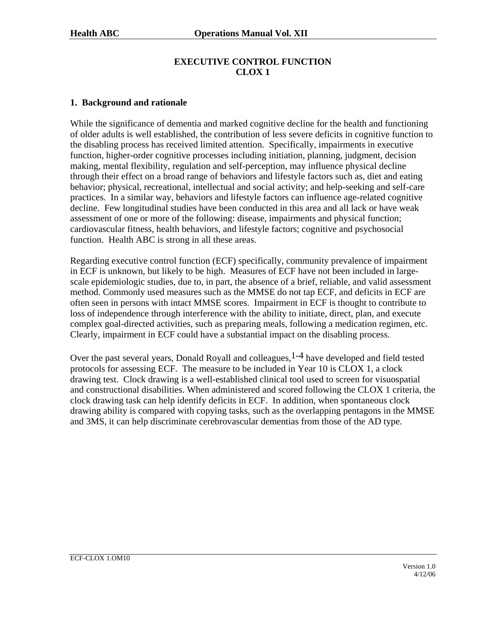# **EXECUTIVE CONTROL FUNCTION CLOX 1**

#### **1. Background and rationale**

While the significance of dementia and marked cognitive decline for the health and functioning of older adults is well established, the contribution of less severe deficits in cognitive function to the disabling process has received limited attention. Specifically, impairments in executive function, higher-order cognitive processes including initiation, planning, judgment, decision making, mental flexibility, regulation and self-perception, may influence physical decline through their effect on a broad range of behaviors and lifestyle factors such as, diet and eating behavior; physical, recreational, intellectual and social activity; and help-seeking and self-care practices. In a similar way, behaviors and lifestyle factors can influence age-related cognitive decline. Few longitudinal studies have been conducted in this area and all lack or have weak assessment of one or more of the following: disease, impairments and physical function; cardiovascular fitness, health behaviors, and lifestyle factors; cognitive and psychosocial function. Health ABC is strong in all these areas.

Regarding executive control function (ECF) specifically, community prevalence of impairment in ECF is unknown, but likely to be high. Measures of ECF have not been included in largescale epidemiologic studies, due to, in part, the absence of a brief, reliable, and valid assessment method. Commonly used measures such as the MMSE do not tap ECF, and deficits in ECF are often seen in persons with intact MMSE scores. Impairment in ECF is thought to contribute to loss of independence through interference with the ability to initiate, direct, plan, and execute complex goal-directed activities, such as preparing meals, following a medication regimen, etc. Clearly, impairment in ECF could have a substantial impact on the disabling process.

Over the past several years, Donald Royall and colleagues, <sup>1-4</sup> have developed and field tested protocols for assessing ECF. The measure to be included in Year 10 is CLOX 1, a clock drawing test. Clock drawing is a well-established clinical tool used to screen for visuospatial and constructional disabilities. When administered and scored following the CLOX 1 criteria, the clock drawing task can help identify deficits in ECF. In addition, when spontaneous clock drawing ability is compared with copying tasks, such as the overlapping pentagons in the MMSE and 3MS, it can help discriminate cerebrovascular dementias from those of the AD type.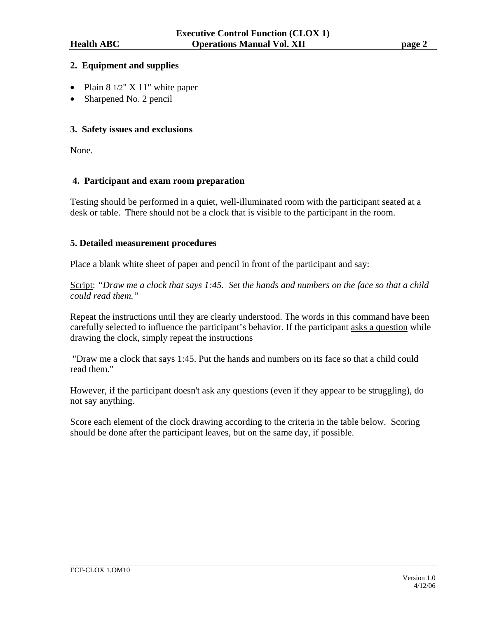### **2. Equipment and supplies**

- Plain 8 1/2" X 11" white paper
- Sharpened No. 2 pencil

# **3. Safety issues and exclusions**

None.

### **4. Participant and exam room preparation**

Testing should be performed in a quiet, well-illuminated room with the participant seated at a desk or table. There should not be a clock that is visible to the participant in the room.

### **5. Detailed measurement procedures**

Place a blank white sheet of paper and pencil in front of the participant and say:

Script: *"Draw me a clock that says 1:45. Set the hands and numbers on the face so that a child could read them."* 

Repeat the instructions until they are clearly understood. The words in this command have been carefully selected to influence the participant's behavior. If the participant asks a question while drawing the clock, simply repeat the instructions

 "Draw me a clock that says 1:45. Put the hands and numbers on its face so that a child could read them."

However, if the participant doesn't ask any questions (even if they appear to be struggling), do not say anything.

Score each element of the clock drawing according to the criteria in the table below. Scoring should be done after the participant leaves, but on the same day, if possible.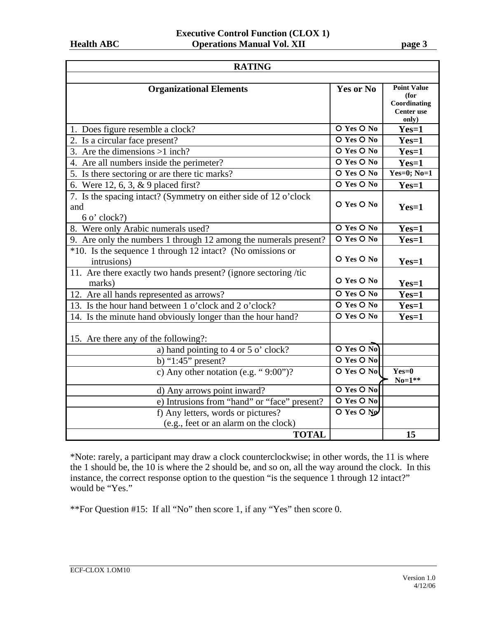| <b>RATING</b>                                                                                                 |                                     |                                                                          |  |  |
|---------------------------------------------------------------------------------------------------------------|-------------------------------------|--------------------------------------------------------------------------|--|--|
| <b>Organizational Elements</b>                                                                                | Yes or No                           | <b>Point Value</b><br>(for<br>Coordinating<br><b>Center</b> use<br>only) |  |  |
| 1. Does figure resemble a clock?                                                                              | O Yes O No                          | $Yes=1$                                                                  |  |  |
| 2. Is a circular face present?                                                                                | O Yes O No                          | $Yes=1$                                                                  |  |  |
| 3. Are the dimensions $>1$ inch?                                                                              | $\overline{O$ Yes $\overline{O}$ No | $Yes=1$                                                                  |  |  |
| 4. Are all numbers inside the perimeter?                                                                      | O Yes O No                          | $Yes=1$                                                                  |  |  |
| 5. Is there sectoring or are there tic marks?                                                                 | O Yes O No                          | Yes=0; $No=1$                                                            |  |  |
| 6. Were 12, 6, 3, & 9 placed first?                                                                           | O Yes O No                          | $Yes=1$                                                                  |  |  |
| 7. Is the spacing intact? (Symmetry on either side of $12\overline{o'clock}$<br>and<br>$6 \text{ o'}$ clock?) | O Yes O No                          | $Yes=1$                                                                  |  |  |
| 8. Were only Arabic numerals used?                                                                            | $\overline{O$ Yes $\overline{O}$ No | $Yes=1$                                                                  |  |  |
| 9. Are only the numbers 1 through 12 among the numerals present?                                              | O Yes O No                          | $Yes=1$                                                                  |  |  |
| *10. Is the sequence 1 through 12 intact? (No omissions or<br>intrusions)                                     | O Yes O No                          | $Yes=1$                                                                  |  |  |
| 11. Are there exactly two hands present? (ignore sectoring /tic<br>marks)                                     | O Yes O No                          | $Yes=1$                                                                  |  |  |
| 12. Are all hands represented as arrows?                                                                      | O Yes O No                          | $Yes=1$                                                                  |  |  |
| 13. Is the hour hand between 1 o'clock and 2 o'clock?                                                         | O Yes O No                          | $Yes=1$                                                                  |  |  |
| 14. Is the minute hand obviously longer than the hour hand?                                                   | O Yes O No                          | $Yes=1$                                                                  |  |  |
| 15. Are there any of the following?:                                                                          |                                     |                                                                          |  |  |
| a) hand pointing to 4 or 5 o' clock?                                                                          | $O$ Yes $O$ No                      |                                                                          |  |  |
| b) " $1:45$ " present?                                                                                        | O Yes O No                          |                                                                          |  |  |
| c) Any other notation (e.g. " $9:00"$ )?                                                                      | O Yes O No                          | $Yes=0$<br>$No=1**$                                                      |  |  |
| d) Any arrows point inward?                                                                                   | O Yes O No                          |                                                                          |  |  |
| e) Intrusions from "hand" or "face" present?                                                                  | O Yes O No                          |                                                                          |  |  |
| f) Any letters, words or pictures?                                                                            | O Yes O No                          |                                                                          |  |  |
| (e.g., feet or an alarm on the clock)                                                                         |                                     |                                                                          |  |  |
| <b>TOTAL</b>                                                                                                  |                                     | 15                                                                       |  |  |

\*Note: rarely, a participant may draw a clock counterclockwise; in other words, the 11 is where the 1 should be, the 10 is where the 2 should be, and so on, all the way around the clock. In this instance, the correct response option to the question "is the sequence 1 through 12 intact?" would be "Yes."

\*\*For Question #15: If all "No" then score 1, if any "Yes" then score 0.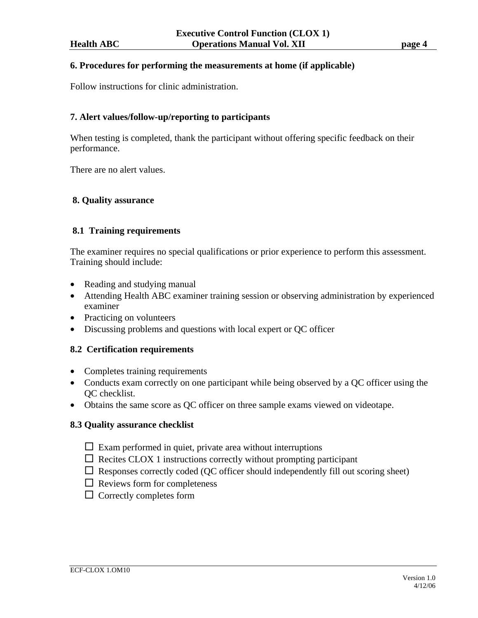#### **6. Procedures for performing the measurements at home (if applicable)**

Follow instructions for clinic administration.

### **7. Alert values/follow-up/reporting to participants**

When testing is completed, thank the participant without offering specific feedback on their performance.

There are no alert values.

### **8. Quality assurance**

### **8.1 Training requirements**

The examiner requires no special qualifications or prior experience to perform this assessment. Training should include:

- Reading and studying manual
- Attending Health ABC examiner training session or observing administration by experienced examiner
- Practicing on volunteers
- Discussing problems and questions with local expert or QC officer

### **8.2 Certification requirements**

- Completes training requirements
- Conducts exam correctly on one participant while being observed by a OC officer using the QC checklist.
- Obtains the same score as QC officer on three sample exams viewed on videotape.

### **8.3 Quality assurance checklist**

- $\Box$  Exam performed in quiet, private area without interruptions
- $\Box$  Recites CLOX 1 instructions correctly without prompting participant
- $\Box$  Responses correctly coded (QC officer should independently fill out scoring sheet)
- $\Box$  Reviews form for completeness
- $\Box$  Correctly completes form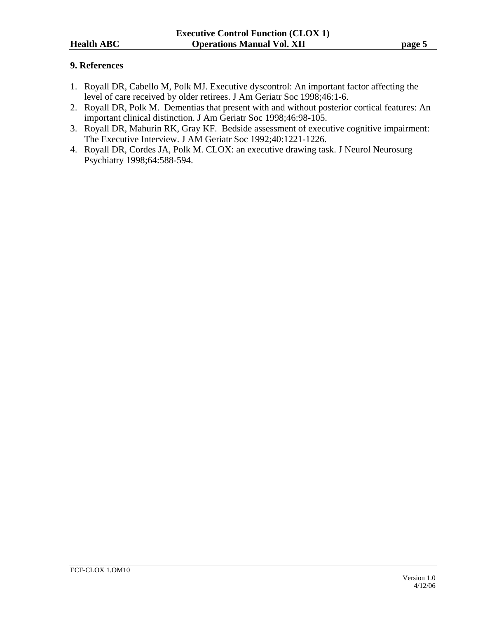# **9. References**

- 1. Royall DR, Cabello M, Polk MJ. Executive dyscontrol: An important factor affecting the level of care received by older retirees. J Am Geriatr Soc 1998;46:1-6.
- 2. Royall DR, Polk M. Dementias that present with and without posterior cortical features: An important clinical distinction. J Am Geriatr Soc 1998;46:98-105.
- 3. Royall DR, Mahurin RK, Gray KF. Bedside assessment of executive cognitive impairment: The Executive Interview. J AM Geriatr Soc 1992;40:1221-1226.
- 4. Royall DR, Cordes JA, Polk M. CLOX: an executive drawing task. J Neurol Neurosurg Psychiatry 1998;64:588-594.